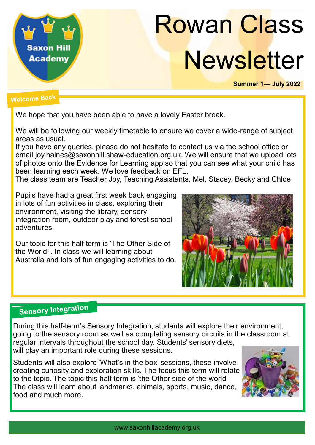

# Rowan Class **Newsletter**

**Summer 1— July 2022**

### **Welcome Back**

We hope that you have been able to have a lovely Easter break.

We will be following our weekly timetable to ensure we cover a wide-range of subject areas as usual.

If you have any queries, please do not hesitate to contact us via the school office or email joy.haines@saxonhill.shaw-education.org.uk. We will ensure that we upload lots of photos onto the Evidence for Learning app so that you can see what your child has been learning each week. We love feedback on EFL.

The class team are Teacher Joy, Teaching Assistants, Mel, Stacey, Becky and Chloe

Pupils have had a great first week back engaging in lots of fun activities in class, exploring their environment, visiting the library, sensory integration room, outdoor play and forest school adventures.

Our topic for this half term is 'The Other Side of the World' . In class we will learning about Australia and lots of fun engaging activities to do.



## **Sensory Integration**

During this half-term's Sensory Integration, students will explore their environment, going to the sensory room as well as completing sensory circuits in the classroom at regular intervals throughout the school day. Students' sensory diets, will play an important role during these sessions.

Students will also explore 'What's in the box' sessions, these involve creating curiosity and exploration skills. The focus this term will relate to the topic. The topic this half term is 'the Other side of the world' The class will learn about landmarks, animals, sports, music, dance, food and much more.